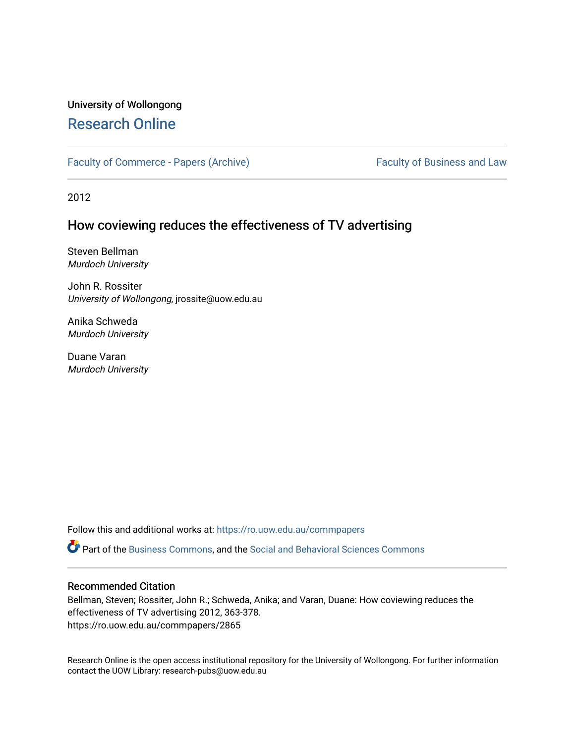# University of Wollongong [Research Online](https://ro.uow.edu.au/)

[Faculty of Commerce - Papers \(Archive\)](https://ro.uow.edu.au/commpapers) Faculty of Business and Law

2012

# How coviewing reduces the effectiveness of TV advertising

Steven Bellman Murdoch University

John R. Rossiter University of Wollongong, jrossite@uow.edu.au

Anika Schweda Murdoch University

Duane Varan Murdoch University

Follow this and additional works at: [https://ro.uow.edu.au/commpapers](https://ro.uow.edu.au/commpapers?utm_source=ro.uow.edu.au%2Fcommpapers%2F2865&utm_medium=PDF&utm_campaign=PDFCoverPages) 

Part of the [Business Commons](http://network.bepress.com/hgg/discipline/622?utm_source=ro.uow.edu.au%2Fcommpapers%2F2865&utm_medium=PDF&utm_campaign=PDFCoverPages), and the [Social and Behavioral Sciences Commons](http://network.bepress.com/hgg/discipline/316?utm_source=ro.uow.edu.au%2Fcommpapers%2F2865&utm_medium=PDF&utm_campaign=PDFCoverPages) 

#### Recommended Citation

Bellman, Steven; Rossiter, John R.; Schweda, Anika; and Varan, Duane: How coviewing reduces the effectiveness of TV advertising 2012, 363-378. https://ro.uow.edu.au/commpapers/2865

Research Online is the open access institutional repository for the University of Wollongong. For further information contact the UOW Library: research-pubs@uow.edu.au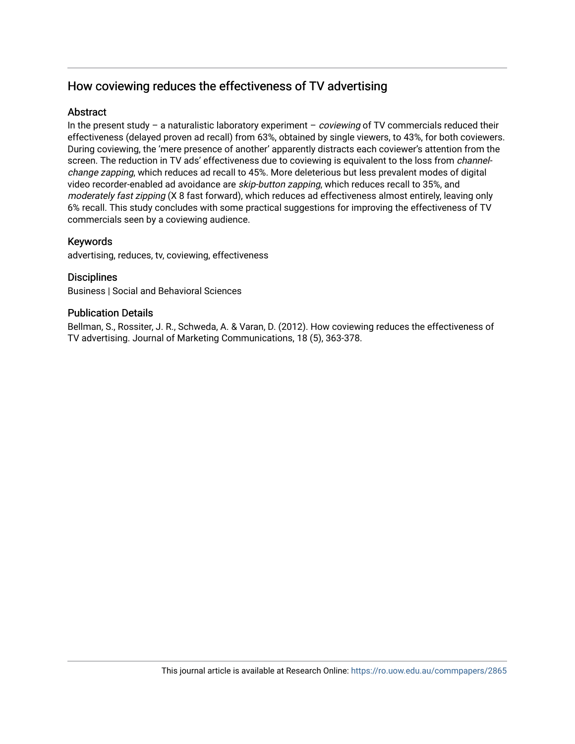# How coviewing reduces the effectiveness of TV advertising

# **Abstract**

In the present study – a naturalistic laboratory experiment – *coviewing* of TV commercials reduced their effectiveness (delayed proven ad recall) from 63%, obtained by single viewers, to 43%, for both coviewers. During coviewing, the 'mere presence of another' apparently distracts each coviewer's attention from the screen. The reduction in TV ads' effectiveness due to coviewing is equivalent to the loss from *channel*change zapping, which reduces ad recall to 45%. More deleterious but less prevalent modes of digital video recorder-enabled ad avoidance are *skip-button zapping*, which reduces recall to 35%, and moderately fast zipping (X 8 fast forward), which reduces ad effectiveness almost entirely, leaving only 6% recall. This study concludes with some practical suggestions for improving the effectiveness of TV commercials seen by a coviewing audience.

# Keywords

advertising, reduces, tv, coviewing, effectiveness

# **Disciplines**

Business | Social and Behavioral Sciences

### Publication Details

Bellman, S., Rossiter, J. R., Schweda, A. & Varan, D. (2012). How coviewing reduces the effectiveness of TV advertising. Journal of Marketing Communications, 18 (5), 363-378.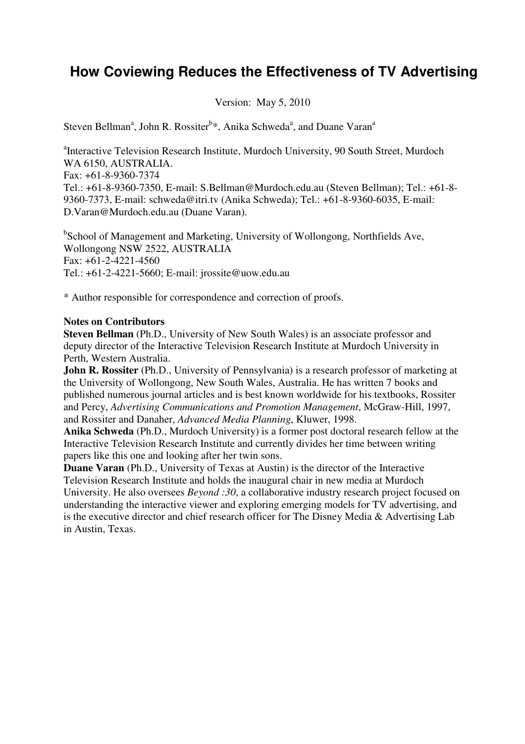# **How Coviewing Reduces the Effectiveness of TV Advertising**

Version: May 5, 2010

Steven Bellman<sup>a</sup>, John R. Rossiter<sup>b\*</sup>, Anika Schweda<sup>a</sup>, and Duane Varan<sup>a</sup>

<sup>a</sup>Interactive Television Research Institute, Murdoch University, 90 South Street, Murdoch WA 6150, AUSTRALIA. Fax: +61-8-9360-7374 Tel.: +61-8-9360-7350, E-mail: S.Bellman@Murdoch.edu.au (Steven Bellman); Tel.: +61-8- 9360-7373, E-mail: schweda@itri.tv (Anika Schweda); Tel.: +61-8-9360-6035, E-mail: D.Varan@Murdoch.edu.au (Duane Varan).

<sup>b</sup>School of Management and Marketing, University of Wollongong, Northfields Ave, Wollongong NSW 2522, AUSTRALIA Fax: +61-2-4221-4560 Tel.: +61-2-4221-5660; E-mail: jrossite@uow.edu.au

\* Author responsible for correspondence and correction of proofs.

### **Notes on Contributors**

**Steven Bellman** (Ph.D., University of New South Wales) is an associate professor and deputy director of the Interactive Television Research Institute at Murdoch University in Perth, Western Australia.

**John R. Rossiter** (Ph.D., University of Pennsylvania) is a research professor of marketing at the University of Wollongong, New South Wales, Australia. He has written 7 books and published numerous journal articles and is best known worldwide for his textbooks, Rossiter and Percy, *Advertising Communications and Promotion Management*, McGraw-Hill, 1997, and Rossiter and Danaher, *Advanced Media Planning*, Kluwer, 1998.

**Anika Schweda** (Ph.D., Murdoch University) is a former post doctoral research fellow at the Interactive Television Research Institute and currently divides her time between writing papers like this one and looking after her twin sons.

**Duane Varan** (Ph.D., University of Texas at Austin) is the director of the Interactive Television Research Institute and holds the inaugural chair in new media at Murdoch University. He also oversees *Beyond :30*, a collaborative industry research project focused on understanding the interactive viewer and exploring emerging models for TV advertising, and is the executive director and chief research officer for The Disney Media & Advertising Lab in Austin, Texas.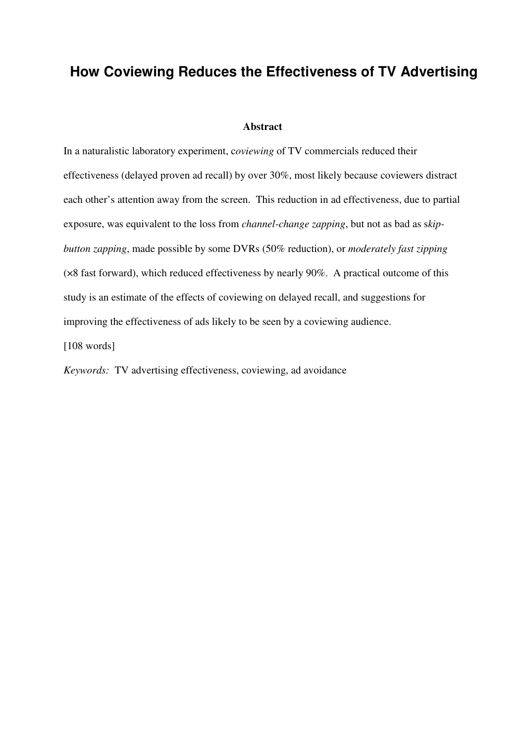# **How Coviewing Reduces the Effectiveness of TV Advertising**

#### **Abstract**

In a naturalistic laboratory experiment, c*oviewing* of TV commercials reduced their effectiveness (delayed proven ad recall) by over 30%, most likely because coviewers distract each other's attention away from the screen. This reduction in ad effectiveness, due to partial exposure, was equivalent to the loss from *channel-change zapping*, but not as bad as s*kipbutton zapping*, made possible by some DVRs (50% reduction), or *moderately fast zipping* (×8 fast forward), which reduced effectiveness by nearly 90%. A practical outcome of this study is an estimate of the effects of coviewing on delayed recall, and suggestions for improving the effectiveness of ads likely to be seen by a coviewing audience.

[108 words]

*Keywords:* TV advertising effectiveness, coviewing, ad avoidance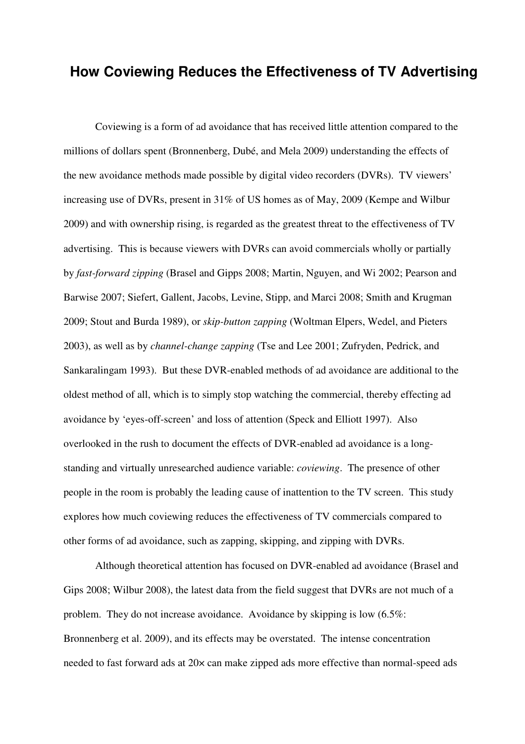# **How Coviewing Reduces the Effectiveness of TV Advertising**

 Coviewing is a form of ad avoidance that has received little attention compared to the millions of dollars spent (Bronnenberg, Dubé, and Mela 2009) understanding the effects of the new avoidance methods made possible by digital video recorders (DVRs). TV viewers' increasing use of DVRs, present in 31% of US homes as of May, 2009 (Kempe and Wilbur 2009) and with ownership rising, is regarded as the greatest threat to the effectiveness of TV advertising. This is because viewers with DVRs can avoid commercials wholly or partially by *fast-forward zipping* (Brasel and Gipps 2008; Martin, Nguyen, and Wi 2002; Pearson and Barwise 2007; Siefert, Gallent, Jacobs, Levine, Stipp, and Marci 2008; Smith and Krugman 2009; Stout and Burda 1989), or *skip-button zapping* (Woltman Elpers, Wedel, and Pieters 2003), as well as by *channel-change zapping* (Tse and Lee 2001; Zufryden, Pedrick, and Sankaralingam 1993). But these DVR-enabled methods of ad avoidance are additional to the oldest method of all, which is to simply stop watching the commercial, thereby effecting ad avoidance by 'eyes-off-screen' and loss of attention (Speck and Elliott 1997). Also overlooked in the rush to document the effects of DVR-enabled ad avoidance is a longstanding and virtually unresearched audience variable: *coviewing*. The presence of other people in the room is probably the leading cause of inattention to the TV screen. This study explores how much coviewing reduces the effectiveness of TV commercials compared to other forms of ad avoidance, such as zapping, skipping, and zipping with DVRs.

Although theoretical attention has focused on DVR-enabled ad avoidance (Brasel and Gips 2008; Wilbur 2008), the latest data from the field suggest that DVRs are not much of a problem. They do not increase avoidance. Avoidance by skipping is low (6.5%: Bronnenberg et al. 2009), and its effects may be overstated. The intense concentration needed to fast forward ads at 20× can make zipped ads more effective than normal-speed ads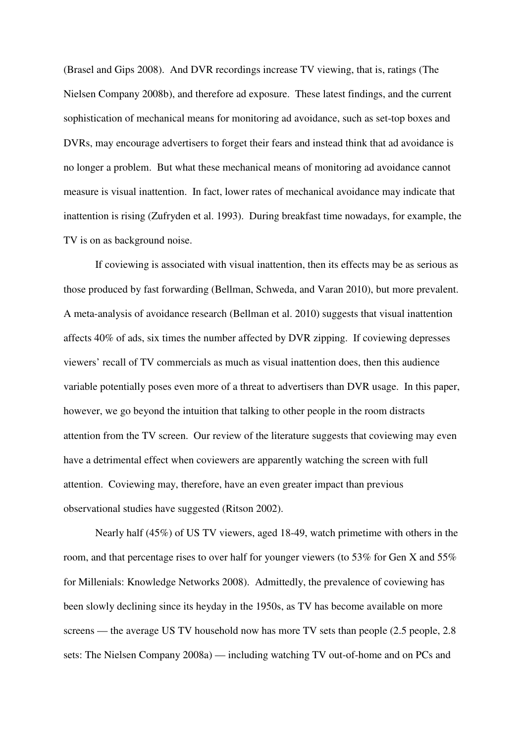(Brasel and Gips 2008). And DVR recordings increase TV viewing, that is, ratings (The Nielsen Company 2008b), and therefore ad exposure. These latest findings, and the current sophistication of mechanical means for monitoring ad avoidance, such as set-top boxes and DVRs, may encourage advertisers to forget their fears and instead think that ad avoidance is no longer a problem. But what these mechanical means of monitoring ad avoidance cannot measure is visual inattention. In fact, lower rates of mechanical avoidance may indicate that inattention is rising (Zufryden et al. 1993). During breakfast time nowadays, for example, the TV is on as background noise.

If coviewing is associated with visual inattention, then its effects may be as serious as those produced by fast forwarding (Bellman, Schweda, and Varan 2010), but more prevalent. A meta-analysis of avoidance research (Bellman et al. 2010) suggests that visual inattention affects 40% of ads, six times the number affected by DVR zipping. If coviewing depresses viewers' recall of TV commercials as much as visual inattention does, then this audience variable potentially poses even more of a threat to advertisers than DVR usage. In this paper, however, we go beyond the intuition that talking to other people in the room distracts attention from the TV screen. Our review of the literature suggests that coviewing may even have a detrimental effect when coviewers are apparently watching the screen with full attention. Coviewing may, therefore, have an even greater impact than previous observational studies have suggested (Ritson 2002).

Nearly half (45%) of US TV viewers, aged 18-49, watch primetime with others in the room, and that percentage rises to over half for younger viewers (to 53% for Gen X and 55% for Millenials: Knowledge Networks 2008). Admittedly, the prevalence of coviewing has been slowly declining since its heyday in the 1950s, as TV has become available on more screens — the average US TV household now has more TV sets than people (2.5 people, 2.8) sets: The Nielsen Company 2008a) — including watching TV out-of-home and on PCs and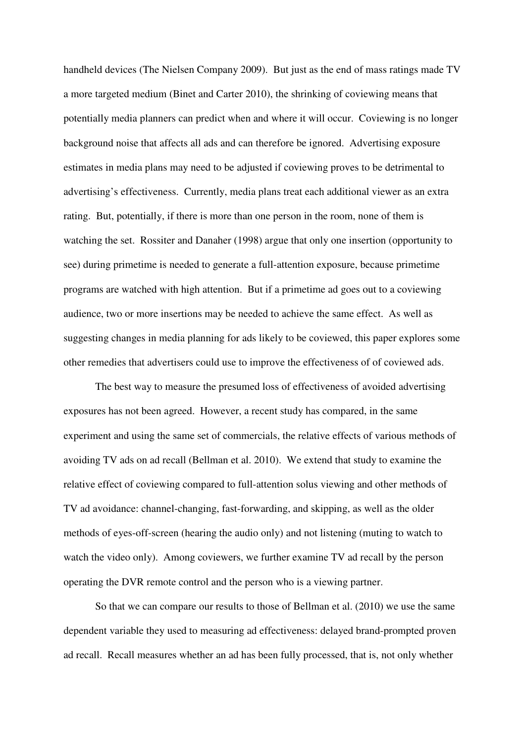handheld devices (The Nielsen Company 2009). But just as the end of mass ratings made TV a more targeted medium (Binet and Carter 2010), the shrinking of coviewing means that potentially media planners can predict when and where it will occur. Coviewing is no longer background noise that affects all ads and can therefore be ignored. Advertising exposure estimates in media plans may need to be adjusted if coviewing proves to be detrimental to advertising's effectiveness. Currently, media plans treat each additional viewer as an extra rating. But, potentially, if there is more than one person in the room, none of them is watching the set. Rossiter and Danaher (1998) argue that only one insertion (opportunity to see) during primetime is needed to generate a full-attention exposure, because primetime programs are watched with high attention. But if a primetime ad goes out to a coviewing audience, two or more insertions may be needed to achieve the same effect. As well as suggesting changes in media planning for ads likely to be coviewed, this paper explores some other remedies that advertisers could use to improve the effectiveness of of coviewed ads.

The best way to measure the presumed loss of effectiveness of avoided advertising exposures has not been agreed. However, a recent study has compared, in the same experiment and using the same set of commercials, the relative effects of various methods of avoiding TV ads on ad recall (Bellman et al. 2010). We extend that study to examine the relative effect of coviewing compared to full-attention solus viewing and other methods of TV ad avoidance: channel-changing, fast-forwarding, and skipping, as well as the older methods of eyes-off-screen (hearing the audio only) and not listening (muting to watch to watch the video only). Among coviewers, we further examine TV ad recall by the person operating the DVR remote control and the person who is a viewing partner.

 So that we can compare our results to those of Bellman et al. (2010) we use the same dependent variable they used to measuring ad effectiveness: delayed brand-prompted proven ad recall. Recall measures whether an ad has been fully processed, that is, not only whether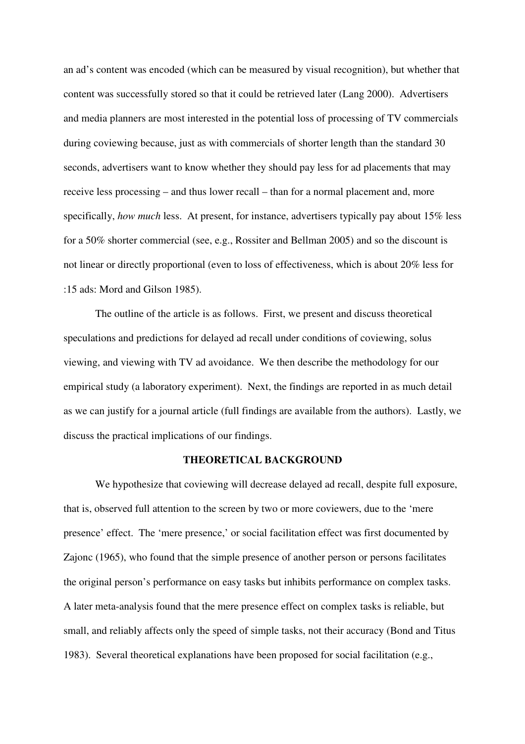an ad's content was encoded (which can be measured by visual recognition), but whether that content was successfully stored so that it could be retrieved later (Lang 2000). Advertisers and media planners are most interested in the potential loss of processing of TV commercials during coviewing because, just as with commercials of shorter length than the standard 30 seconds, advertisers want to know whether they should pay less for ad placements that may receive less processing – and thus lower recall – than for a normal placement and, more specifically, *how much* less. At present, for instance, advertisers typically pay about 15% less for a 50% shorter commercial (see, e.g., Rossiter and Bellman 2005) and so the discount is not linear or directly proportional (even to loss of effectiveness, which is about 20% less for :15 ads: Mord and Gilson 1985).

 The outline of the article is as follows. First, we present and discuss theoretical speculations and predictions for delayed ad recall under conditions of coviewing, solus viewing, and viewing with TV ad avoidance. We then describe the methodology for our empirical study (a laboratory experiment). Next, the findings are reported in as much detail as we can justify for a journal article (full findings are available from the authors). Lastly, we discuss the practical implications of our findings.

### **THEORETICAL BACKGROUND**

 We hypothesize that coviewing will decrease delayed ad recall, despite full exposure, that is, observed full attention to the screen by two or more coviewers, due to the 'mere presence' effect. The 'mere presence,' or social facilitation effect was first documented by Zajonc (1965), who found that the simple presence of another person or persons facilitates the original person's performance on easy tasks but inhibits performance on complex tasks. A later meta-analysis found that the mere presence effect on complex tasks is reliable, but small, and reliably affects only the speed of simple tasks, not their accuracy (Bond and Titus 1983). Several theoretical explanations have been proposed for social facilitation (e.g.,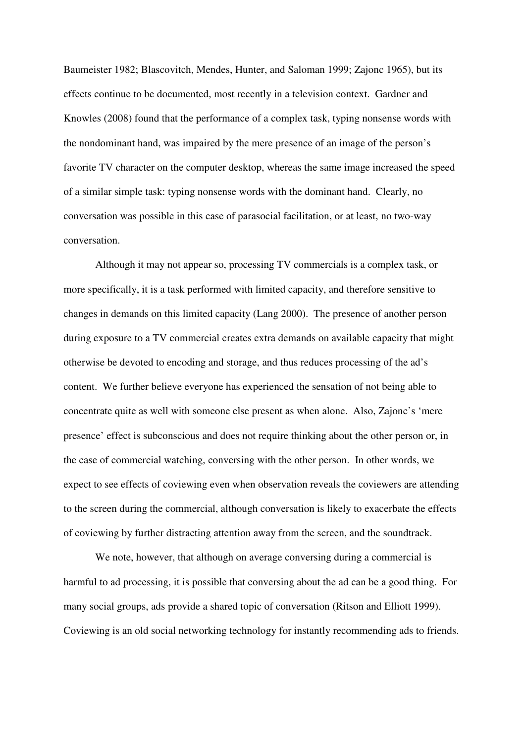Baumeister 1982; Blascovitch, Mendes, Hunter, and Saloman 1999; Zajonc 1965), but its effects continue to be documented, most recently in a television context. Gardner and Knowles (2008) found that the performance of a complex task, typing nonsense words with the nondominant hand, was impaired by the mere presence of an image of the person's favorite TV character on the computer desktop, whereas the same image increased the speed of a similar simple task: typing nonsense words with the dominant hand. Clearly, no conversation was possible in this case of parasocial facilitation, or at least, no two-way conversation.

Although it may not appear so, processing TV commercials is a complex task, or more specifically, it is a task performed with limited capacity, and therefore sensitive to changes in demands on this limited capacity (Lang 2000). The presence of another person during exposure to a TV commercial creates extra demands on available capacity that might otherwise be devoted to encoding and storage, and thus reduces processing of the ad's content. We further believe everyone has experienced the sensation of not being able to concentrate quite as well with someone else present as when alone. Also, Zajonc's 'mere presence' effect is subconscious and does not require thinking about the other person or, in the case of commercial watching, conversing with the other person. In other words, we expect to see effects of coviewing even when observation reveals the coviewers are attending to the screen during the commercial, although conversation is likely to exacerbate the effects of coviewing by further distracting attention away from the screen, and the soundtrack.

We note, however, that although on average conversing during a commercial is harmful to ad processing, it is possible that conversing about the ad can be a good thing. For many social groups, ads provide a shared topic of conversation (Ritson and Elliott 1999). Coviewing is an old social networking technology for instantly recommending ads to friends.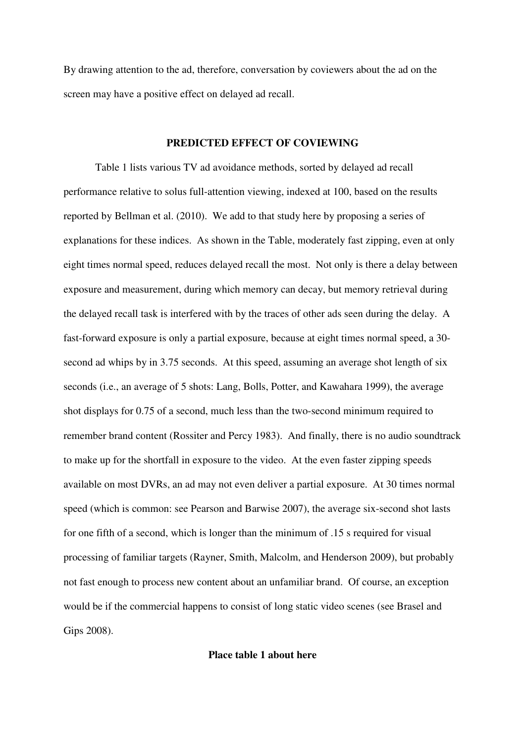By drawing attention to the ad, therefore, conversation by coviewers about the ad on the screen may have a positive effect on delayed ad recall.

### **PREDICTED EFFECT OF COVIEWING**

 Table 1 lists various TV ad avoidance methods, sorted by delayed ad recall performance relative to solus full-attention viewing, indexed at 100, based on the results reported by Bellman et al. (2010). We add to that study here by proposing a series of explanations for these indices. As shown in the Table, moderately fast zipping, even at only eight times normal speed, reduces delayed recall the most. Not only is there a delay between exposure and measurement, during which memory can decay, but memory retrieval during the delayed recall task is interfered with by the traces of other ads seen during the delay. A fast-forward exposure is only a partial exposure, because at eight times normal speed, a 30 second ad whips by in 3.75 seconds. At this speed, assuming an average shot length of six seconds (i.e., an average of 5 shots: Lang, Bolls, Potter, and Kawahara 1999), the average shot displays for 0.75 of a second, much less than the two-second minimum required to remember brand content (Rossiter and Percy 1983). And finally, there is no audio soundtrack to make up for the shortfall in exposure to the video. At the even faster zipping speeds available on most DVRs, an ad may not even deliver a partial exposure. At 30 times normal speed (which is common: see Pearson and Barwise 2007), the average six-second shot lasts for one fifth of a second, which is longer than the minimum of .15 s required for visual processing of familiar targets (Rayner, Smith, Malcolm, and Henderson 2009), but probably not fast enough to process new content about an unfamiliar brand. Of course, an exception would be if the commercial happens to consist of long static video scenes (see Brasel and Gips 2008).

### **Place table 1 about here**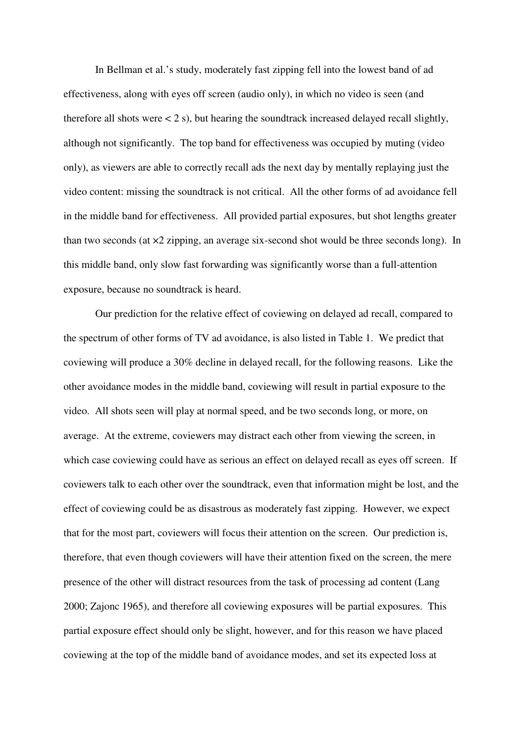In Bellman et al.'s study, moderately fast zipping fell into the lowest band of ad effectiveness, along with eyes off screen (audio only), in which no video is seen (and therefore all shots were  $\lt 2$  s), but hearing the soundtrack increased delayed recall slightly, although not significantly. The top band for effectiveness was occupied by muting (video only), as viewers are able to correctly recall ads the next day by mentally replaying just the video content: missing the soundtrack is not critical. All the other forms of ad avoidance fell in the middle band for effectiveness. All provided partial exposures, but shot lengths greater than two seconds (at ×2 zipping, an average six-second shot would be three seconds long). In this middle band, only slow fast forwarding was significantly worse than a full-attention exposure, because no soundtrack is heard.

Our prediction for the relative effect of coviewing on delayed ad recall, compared to the spectrum of other forms of TV ad avoidance, is also listed in Table 1. We predict that coviewing will produce a 30% decline in delayed recall, for the following reasons. Like the other avoidance modes in the middle band, coviewing will result in partial exposure to the video. All shots seen will play at normal speed, and be two seconds long, or more, on average. At the extreme, coviewers may distract each other from viewing the screen, in which case coviewing could have as serious an effect on delayed recall as eyes off screen. If coviewers talk to each other over the soundtrack, even that information might be lost, and the effect of coviewing could be as disastrous as moderately fast zipping. However, we expect that for the most part, coviewers will focus their attention on the screen. Our prediction is, therefore, that even though coviewers will have their attention fixed on the screen, the mere presence of the other will distract resources from the task of processing ad content (Lang 2000; Zajonc 1965), and therefore all coviewing exposures will be partial exposures. This partial exposure effect should only be slight, however, and for this reason we have placed coviewing at the top of the middle band of avoidance modes, and set its expected loss at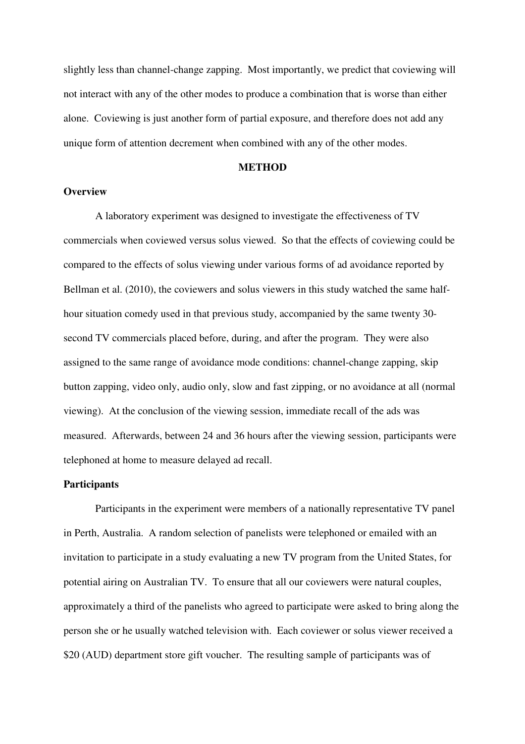slightly less than channel-change zapping. Most importantly, we predict that coviewing will not interact with any of the other modes to produce a combination that is worse than either alone. Coviewing is just another form of partial exposure, and therefore does not add any unique form of attention decrement when combined with any of the other modes.

#### **METHOD**

### **Overview**

 A laboratory experiment was designed to investigate the effectiveness of TV commercials when coviewed versus solus viewed. So that the effects of coviewing could be compared to the effects of solus viewing under various forms of ad avoidance reported by Bellman et al. (2010), the coviewers and solus viewers in this study watched the same halfhour situation comedy used in that previous study, accompanied by the same twenty 30 second TV commercials placed before, during, and after the program. They were also assigned to the same range of avoidance mode conditions: channel-change zapping, skip button zapping, video only, audio only, slow and fast zipping, or no avoidance at all (normal viewing). At the conclusion of the viewing session, immediate recall of the ads was measured. Afterwards, between 24 and 36 hours after the viewing session, participants were telephoned at home to measure delayed ad recall.

### **Participants**

 Participants in the experiment were members of a nationally representative TV panel in Perth, Australia. A random selection of panelists were telephoned or emailed with an invitation to participate in a study evaluating a new TV program from the United States, for potential airing on Australian TV. To ensure that all our coviewers were natural couples, approximately a third of the panelists who agreed to participate were asked to bring along the person she or he usually watched television with. Each coviewer or solus viewer received a \$20 (AUD) department store gift voucher. The resulting sample of participants was of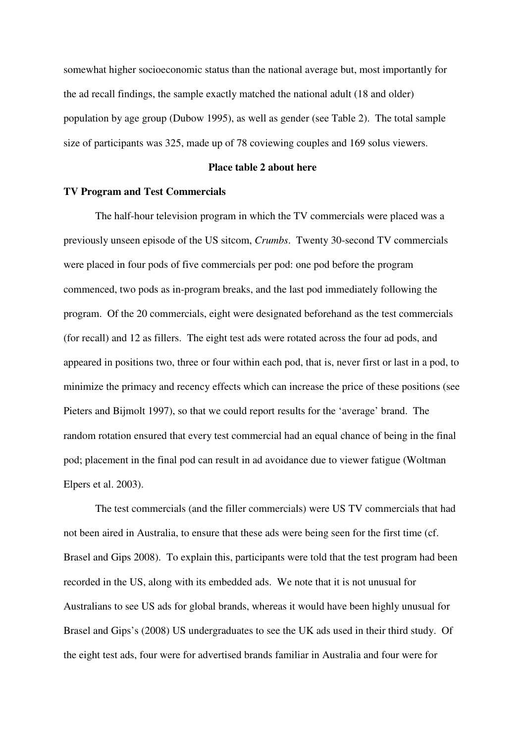somewhat higher socioeconomic status than the national average but, most importantly for the ad recall findings, the sample exactly matched the national adult (18 and older) population by age group (Dubow 1995), as well as gender (see Table 2). The total sample size of participants was 325, made up of 78 coviewing couples and 169 solus viewers.

#### **Place table 2 about here**

### **TV Program and Test Commercials**

 The half-hour television program in which the TV commercials were placed was a previously unseen episode of the US sitcom, *Crumbs*. Twenty 30-second TV commercials were placed in four pods of five commercials per pod: one pod before the program commenced, two pods as in-program breaks, and the last pod immediately following the program. Of the 20 commercials, eight were designated beforehand as the test commercials (for recall) and 12 as fillers. The eight test ads were rotated across the four ad pods, and appeared in positions two, three or four within each pod, that is, never first or last in a pod, to minimize the primacy and recency effects which can increase the price of these positions (see Pieters and Bijmolt 1997), so that we could report results for the 'average' brand. The random rotation ensured that every test commercial had an equal chance of being in the final pod; placement in the final pod can result in ad avoidance due to viewer fatigue (Woltman Elpers et al. 2003).

The test commercials (and the filler commercials) were US TV commercials that had not been aired in Australia, to ensure that these ads were being seen for the first time (cf. Brasel and Gips 2008). To explain this, participants were told that the test program had been recorded in the US, along with its embedded ads. We note that it is not unusual for Australians to see US ads for global brands, whereas it would have been highly unusual for Brasel and Gips's (2008) US undergraduates to see the UK ads used in their third study. Of the eight test ads, four were for advertised brands familiar in Australia and four were for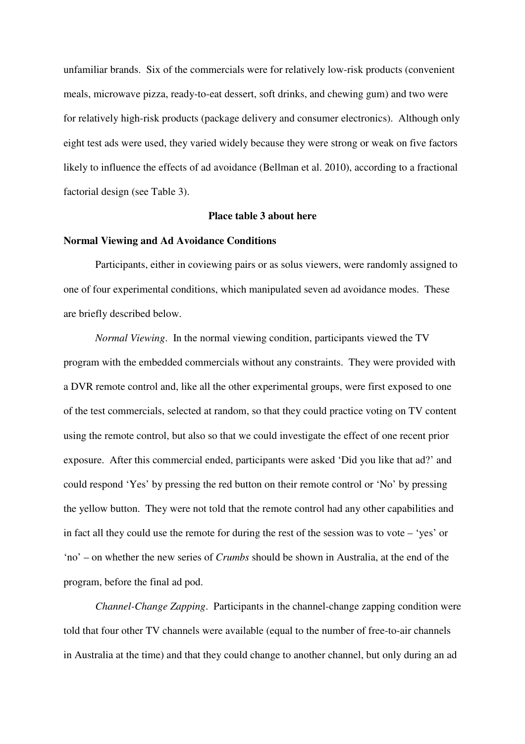unfamiliar brands. Six of the commercials were for relatively low-risk products (convenient meals, microwave pizza, ready-to-eat dessert, soft drinks, and chewing gum) and two were for relatively high-risk products (package delivery and consumer electronics). Although only eight test ads were used, they varied widely because they were strong or weak on five factors likely to influence the effects of ad avoidance (Bellman et al. 2010), according to a fractional factorial design (see Table 3).

#### **Place table 3 about here**

#### **Normal Viewing and Ad Avoidance Conditions**

 Participants, either in coviewing pairs or as solus viewers, were randomly assigned to one of four experimental conditions, which manipulated seven ad avoidance modes. These are briefly described below.

*Normal Viewing*. In the normal viewing condition, participants viewed the TV program with the embedded commercials without any constraints. They were provided with a DVR remote control and, like all the other experimental groups, were first exposed to one of the test commercials, selected at random, so that they could practice voting on TV content using the remote control, but also so that we could investigate the effect of one recent prior exposure. After this commercial ended, participants were asked 'Did you like that ad?' and could respond 'Yes' by pressing the red button on their remote control or 'No' by pressing the yellow button. They were not told that the remote control had any other capabilities and in fact all they could use the remote for during the rest of the session was to vote – 'yes' or 'no' – on whether the new series of *Crumbs* should be shown in Australia, at the end of the program, before the final ad pod.

*Channel-Change Zapping*. Participants in the channel-change zapping condition were told that four other TV channels were available (equal to the number of free-to-air channels in Australia at the time) and that they could change to another channel, but only during an ad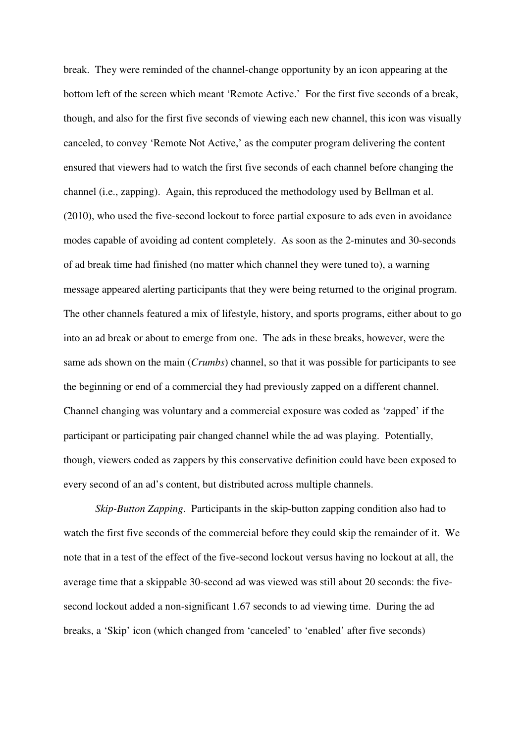break. They were reminded of the channel-change opportunity by an icon appearing at the bottom left of the screen which meant 'Remote Active.' For the first five seconds of a break, though, and also for the first five seconds of viewing each new channel, this icon was visually canceled, to convey 'Remote Not Active,' as the computer program delivering the content ensured that viewers had to watch the first five seconds of each channel before changing the channel (i.e., zapping). Again, this reproduced the methodology used by Bellman et al. (2010), who used the five-second lockout to force partial exposure to ads even in avoidance modes capable of avoiding ad content completely. As soon as the 2-minutes and 30-seconds of ad break time had finished (no matter which channel they were tuned to), a warning message appeared alerting participants that they were being returned to the original program. The other channels featured a mix of lifestyle, history, and sports programs, either about to go into an ad break or about to emerge from one. The ads in these breaks, however, were the same ads shown on the main (*Crumbs*) channel, so that it was possible for participants to see the beginning or end of a commercial they had previously zapped on a different channel. Channel changing was voluntary and a commercial exposure was coded as 'zapped' if the participant or participating pair changed channel while the ad was playing. Potentially, though, viewers coded as zappers by this conservative definition could have been exposed to every second of an ad's content, but distributed across multiple channels.

*Skip-Button Zapping*. Participants in the skip-button zapping condition also had to watch the first five seconds of the commercial before they could skip the remainder of it. We note that in a test of the effect of the five-second lockout versus having no lockout at all, the average time that a skippable 30-second ad was viewed was still about 20 seconds: the fivesecond lockout added a non-significant 1.67 seconds to ad viewing time. During the ad breaks, a 'Skip' icon (which changed from 'canceled' to 'enabled' after five seconds)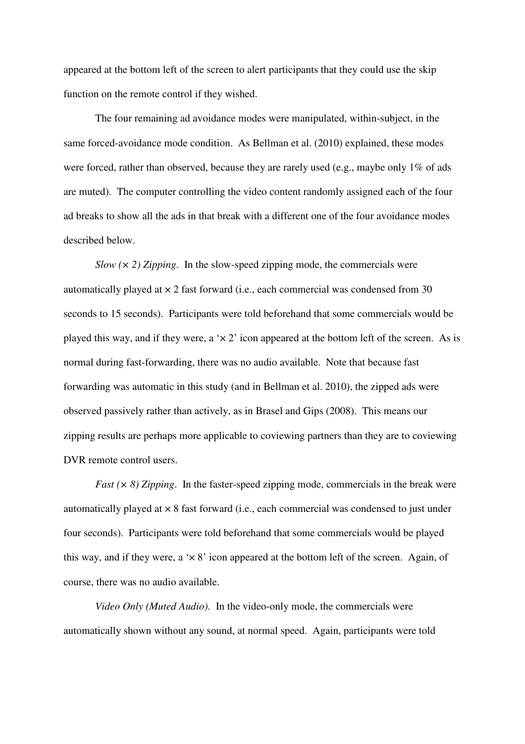appeared at the bottom left of the screen to alert participants that they could use the skip function on the remote control if they wished.

 The four remaining ad avoidance modes were manipulated, within-subject, in the same forced-avoidance mode condition. As Bellman et al. (2010) explained, these modes were forced, rather than observed, because they are rarely used (e.g., maybe only 1% of ads are muted). The computer controlling the video content randomly assigned each of the four ad breaks to show all the ads in that break with a different one of the four avoidance modes described below.

*Slow (× 2) Zipping*. In the slow-speed zipping mode, the commercials were automatically played at  $\times$  2 fast forward (i.e., each commercial was condensed from 30 seconds to 15 seconds). Participants were told beforehand that some commercials would be played this way, and if they were, a ' $\times$  2' icon appeared at the bottom left of the screen. As is normal during fast-forwarding, there was no audio available. Note that because fast forwarding was automatic in this study (and in Bellman et al. 2010), the zipped ads were observed passively rather than actively, as in Brasel and Gips (2008). This means our zipping results are perhaps more applicable to coviewing partners than they are to coviewing DVR remote control users.

*Fast (× 8) Zipping*. In the faster-speed zipping mode, commercials in the break were automatically played at × 8 fast forward (i.e., each commercial was condensed to just under four seconds). Participants were told beforehand that some commercials would be played this way, and if they were, a ' $\times$  8' icon appeared at the bottom left of the screen. Again, of course, there was no audio available.

*Video Only (Muted Audio)*. In the video-only mode, the commercials were automatically shown without any sound, at normal speed. Again, participants were told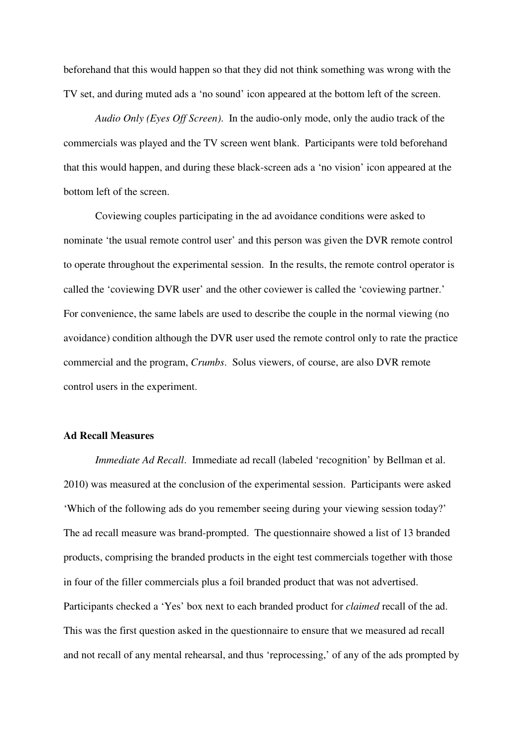beforehand that this would happen so that they did not think something was wrong with the TV set, and during muted ads a 'no sound' icon appeared at the bottom left of the screen.

*Audio Only (Eyes Off Screen)*. In the audio-only mode, only the audio track of the commercials was played and the TV screen went blank. Participants were told beforehand that this would happen, and during these black-screen ads a 'no vision' icon appeared at the bottom left of the screen.

 Coviewing couples participating in the ad avoidance conditions were asked to nominate 'the usual remote control user' and this person was given the DVR remote control to operate throughout the experimental session. In the results, the remote control operator is called the 'coviewing DVR user' and the other coviewer is called the 'coviewing partner.' For convenience, the same labels are used to describe the couple in the normal viewing (no avoidance) condition although the DVR user used the remote control only to rate the practice commercial and the program, *Crumbs*. Solus viewers, of course, are also DVR remote control users in the experiment.

#### **Ad Recall Measures**

*Immediate Ad Recall.* Immediate ad recall (labeled 'recognition' by Bellman et al. 2010) was measured at the conclusion of the experimental session. Participants were asked 'Which of the following ads do you remember seeing during your viewing session today?' The ad recall measure was brand-prompted. The questionnaire showed a list of 13 branded products, comprising the branded products in the eight test commercials together with those in four of the filler commercials plus a foil branded product that was not advertised. Participants checked a 'Yes' box next to each branded product for *claimed* recall of the ad. This was the first question asked in the questionnaire to ensure that we measured ad recall and not recall of any mental rehearsal, and thus 'reprocessing,' of any of the ads prompted by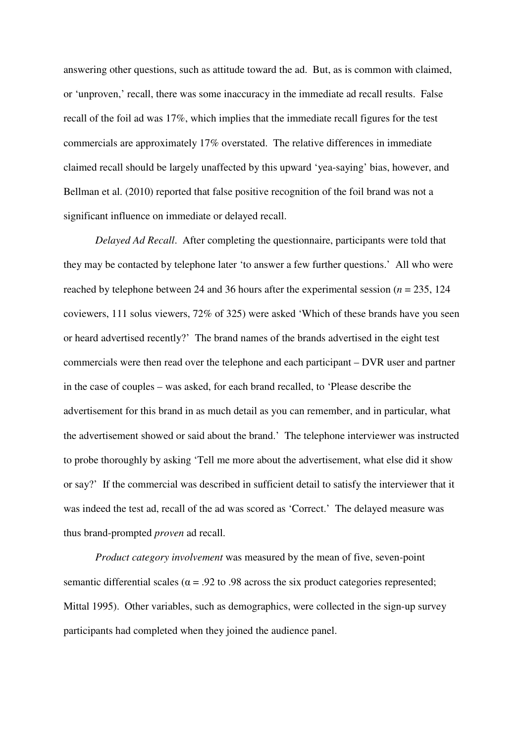answering other questions, such as attitude toward the ad. But, as is common with claimed, or 'unproven,' recall, there was some inaccuracy in the immediate ad recall results. False recall of the foil ad was 17%, which implies that the immediate recall figures for the test commercials are approximately 17% overstated. The relative differences in immediate claimed recall should be largely unaffected by this upward 'yea-saying' bias, however, and Bellman et al. (2010) reported that false positive recognition of the foil brand was not a significant influence on immediate or delayed recall.

*Delayed Ad Recall*. After completing the questionnaire, participants were told that they may be contacted by telephone later 'to answer a few further questions.' All who were reached by telephone between 24 and 36 hours after the experimental session (*n* = 235, 124 coviewers, 111 solus viewers, 72% of 325) were asked 'Which of these brands have you seen or heard advertised recently?' The brand names of the brands advertised in the eight test commercials were then read over the telephone and each participant – DVR user and partner in the case of couples – was asked, for each brand recalled, to 'Please describe the advertisement for this brand in as much detail as you can remember, and in particular, what the advertisement showed or said about the brand.' The telephone interviewer was instructed to probe thoroughly by asking 'Tell me more about the advertisement, what else did it show or say?' If the commercial was described in sufficient detail to satisfy the interviewer that it was indeed the test ad, recall of the ad was scored as 'Correct.' The delayed measure was thus brand-prompted *proven* ad recall.

*Product category involvement* was measured by the mean of five, seven-point semantic differential scales ( $\alpha$  = .92 to .98 across the six product categories represented; Mittal 1995). Other variables, such as demographics, were collected in the sign-up survey participants had completed when they joined the audience panel.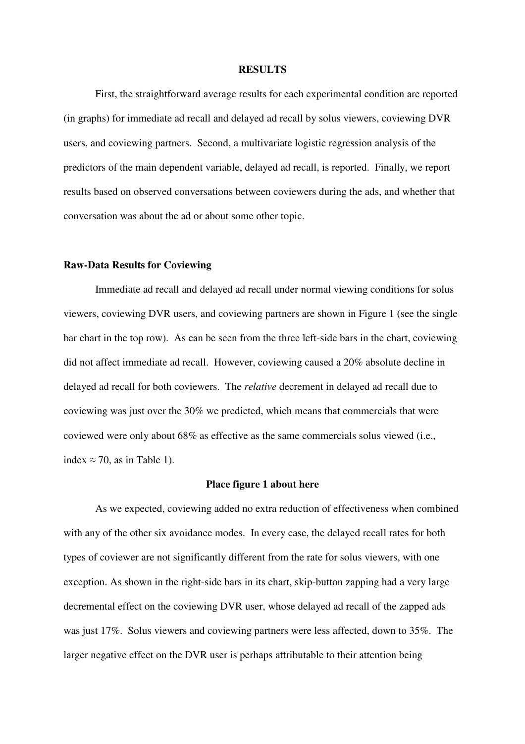#### **RESULTS**

 First, the straightforward average results for each experimental condition are reported (in graphs) for immediate ad recall and delayed ad recall by solus viewers, coviewing DVR users, and coviewing partners. Second, a multivariate logistic regression analysis of the predictors of the main dependent variable, delayed ad recall, is reported. Finally, we report results based on observed conversations between coviewers during the ads, and whether that conversation was about the ad or about some other topic.

#### **Raw-Data Results for Coviewing**

 Immediate ad recall and delayed ad recall under normal viewing conditions for solus viewers, coviewing DVR users, and coviewing partners are shown in Figure 1 (see the single bar chart in the top row). As can be seen from the three left-side bars in the chart, coviewing did not affect immediate ad recall. However, coviewing caused a 20% absolute decline in delayed ad recall for both coviewers. The *relative* decrement in delayed ad recall due to coviewing was just over the 30% we predicted, which means that commercials that were coviewed were only about 68% as effective as the same commercials solus viewed (i.e., index  $\approx$  70, as in Table 1).

#### **Place figure 1 about here**

 As we expected, coviewing added no extra reduction of effectiveness when combined with any of the other six avoidance modes. In every case, the delayed recall rates for both types of coviewer are not significantly different from the rate for solus viewers, with one exception. As shown in the right-side bars in its chart, skip-button zapping had a very large decremental effect on the coviewing DVR user, whose delayed ad recall of the zapped ads was just 17%. Solus viewers and coviewing partners were less affected, down to 35%. The larger negative effect on the DVR user is perhaps attributable to their attention being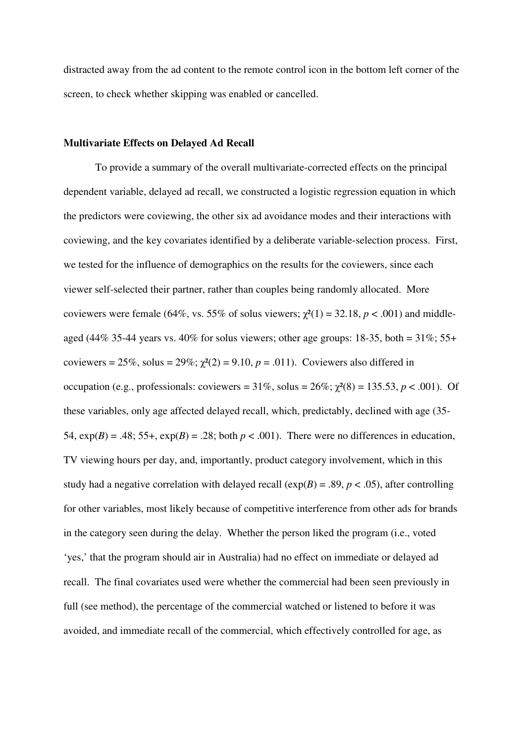distracted away from the ad content to the remote control icon in the bottom left corner of the screen, to check whether skipping was enabled or cancelled.

### **Multivariate Effects on Delayed Ad Recall**

 To provide a summary of the overall multivariate-corrected effects on the principal dependent variable, delayed ad recall, we constructed a logistic regression equation in which the predictors were coviewing, the other six ad avoidance modes and their interactions with coviewing, and the key covariates identified by a deliberate variable-selection process. First, we tested for the influence of demographics on the results for the coviewers, since each viewer self-selected their partner, rather than couples being randomly allocated. More coviewers were female (64%, vs. 55% of solus viewers;  $\chi^2(1) = 32.18$ ,  $p < .001$ ) and middleaged (44% 35-44 years vs. 40% for solus viewers; other age groups: 18-35, both =  $31\%$ ; 55+ coviewers =  $25\%$ , solus =  $29\%$ ;  $\chi^2(2) = 9.10$ ,  $p = .011$ ). Coviewers also differed in occupation (e.g., professionals: coviewers =  $31\%$ , solus =  $26\%$ ;  $\chi^2(8) = 135.53$ ,  $p < .001$ ). Of these variables, only age affected delayed recall, which, predictably, declined with age (35- 54,  $exp(B) = .48$ ; 55+,  $exp(B) = .28$ ; both  $p < .001$ ). There were no differences in education, TV viewing hours per day, and, importantly, product category involvement, which in this study had a negative correlation with delayed recall  $(\exp(B) = .89, p < .05)$ , after controlling for other variables, most likely because of competitive interference from other ads for brands in the category seen during the delay. Whether the person liked the program (i.e., voted 'yes,' that the program should air in Australia) had no effect on immediate or delayed ad recall. The final covariates used were whether the commercial had been seen previously in full (see method), the percentage of the commercial watched or listened to before it was avoided, and immediate recall of the commercial, which effectively controlled for age, as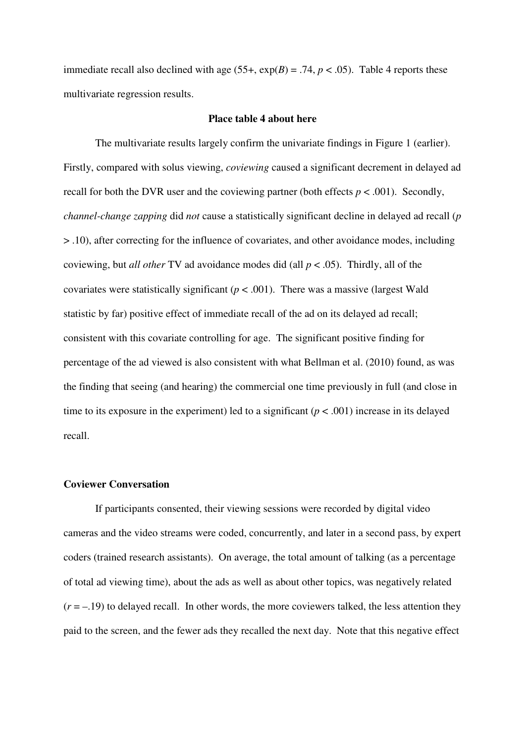immediate recall also declined with age  $(55+, \exp(B) = .74, p < .05)$ . Table 4 reports these multivariate regression results.

#### **Place table 4 about here**

 The multivariate results largely confirm the univariate findings in Figure 1 (earlier). Firstly, compared with solus viewing, *coviewing* caused a significant decrement in delayed ad recall for both the DVR user and the coviewing partner (both effects  $p < .001$ ). Secondly, *channel-change zapping* did *not* cause a statistically significant decline in delayed ad recall (*p* > .10), after correcting for the influence of covariates, and other avoidance modes, including coviewing, but *all other* TV ad avoidance modes did (all *p* < .05). Thirdly, all of the covariates were statistically significant ( $p < .001$ ). There was a massive (largest Wald statistic by far) positive effect of immediate recall of the ad on its delayed ad recall; consistent with this covariate controlling for age. The significant positive finding for percentage of the ad viewed is also consistent with what Bellman et al. (2010) found, as was the finding that seeing (and hearing) the commercial one time previously in full (and close in time to its exposure in the experiment) led to a significant ( $p < .001$ ) increase in its delayed recall.

#### **Coviewer Conversation**

If participants consented, their viewing sessions were recorded by digital video cameras and the video streams were coded, concurrently, and later in a second pass, by expert coders (trained research assistants). On average, the total amount of talking (as a percentage of total ad viewing time), about the ads as well as about other topics, was negatively related  $(r = -19)$  to delayed recall. In other words, the more coviewers talked, the less attention they paid to the screen, and the fewer ads they recalled the next day. Note that this negative effect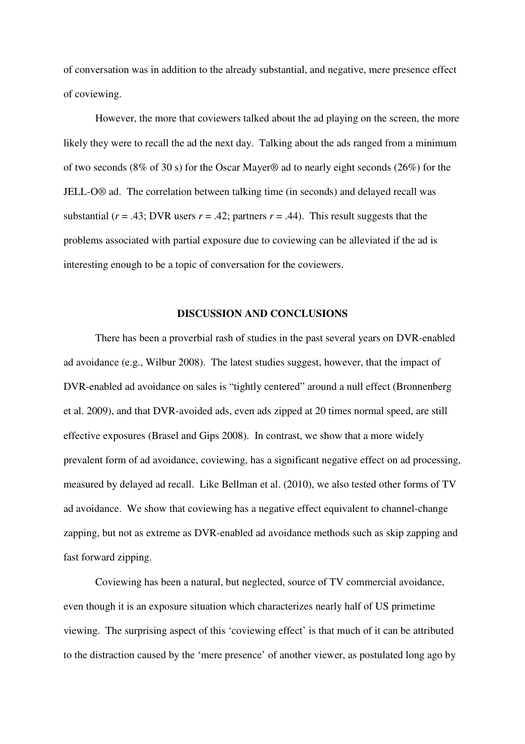of conversation was in addition to the already substantial, and negative, mere presence effect of coviewing.

However, the more that coviewers talked about the ad playing on the screen, the more likely they were to recall the ad the next day. Talking about the ads ranged from a minimum of two seconds (8% of 30 s) for the Oscar Mayer® ad to nearly eight seconds (26%) for the JELL-O® ad. The correlation between talking time (in seconds) and delayed recall was substantial ( $r = .43$ ; DVR users  $r = .42$ ; partners  $r = .44$ ). This result suggests that the problems associated with partial exposure due to coviewing can be alleviated if the ad is interesting enough to be a topic of conversation for the coviewers.

### **DISCUSSION AND CONCLUSIONS**

There has been a proverbial rash of studies in the past several years on DVR-enabled ad avoidance (e.g., Wilbur 2008). The latest studies suggest, however, that the impact of DVR-enabled ad avoidance on sales is "tightly centered" around a null effect (Bronnenberg et al. 2009), and that DVR-avoided ads, even ads zipped at 20 times normal speed, are still effective exposures (Brasel and Gips 2008). In contrast, we show that a more widely prevalent form of ad avoidance, coviewing, has a significant negative effect on ad processing, measured by delayed ad recall. Like Bellman et al. (2010), we also tested other forms of TV ad avoidance. We show that coviewing has a negative effect equivalent to channel-change zapping, but not as extreme as DVR-enabled ad avoidance methods such as skip zapping and fast forward zipping.

Coviewing has been a natural, but neglected, source of TV commercial avoidance, even though it is an exposure situation which characterizes nearly half of US primetime viewing. The surprising aspect of this 'coviewing effect' is that much of it can be attributed to the distraction caused by the 'mere presence' of another viewer, as postulated long ago by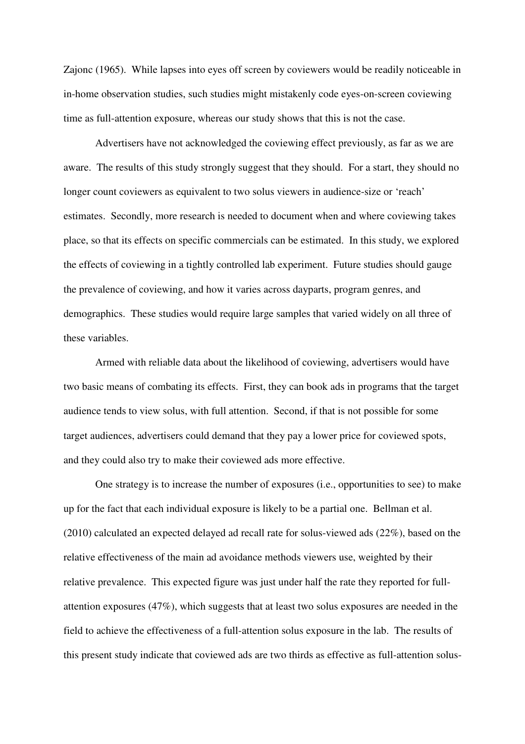Zajonc (1965). While lapses into eyes off screen by coviewers would be readily noticeable in in-home observation studies, such studies might mistakenly code eyes-on-screen coviewing time as full-attention exposure, whereas our study shows that this is not the case.

Advertisers have not acknowledged the coviewing effect previously, as far as we are aware. The results of this study strongly suggest that they should. For a start, they should no longer count coviewers as equivalent to two solus viewers in audience-size or 'reach' estimates. Secondly, more research is needed to document when and where coviewing takes place, so that its effects on specific commercials can be estimated. In this study, we explored the effects of coviewing in a tightly controlled lab experiment. Future studies should gauge the prevalence of coviewing, and how it varies across dayparts, program genres, and demographics. These studies would require large samples that varied widely on all three of these variables.

Armed with reliable data about the likelihood of coviewing, advertisers would have two basic means of combating its effects. First, they can book ads in programs that the target audience tends to view solus, with full attention. Second, if that is not possible for some target audiences, advertisers could demand that they pay a lower price for coviewed spots, and they could also try to make their coviewed ads more effective.

One strategy is to increase the number of exposures (i.e., opportunities to see) to make up for the fact that each individual exposure is likely to be a partial one. Bellman et al. (2010) calculated an expected delayed ad recall rate for solus-viewed ads (22%), based on the relative effectiveness of the main ad avoidance methods viewers use, weighted by their relative prevalence. This expected figure was just under half the rate they reported for fullattention exposures (47%), which suggests that at least two solus exposures are needed in the field to achieve the effectiveness of a full-attention solus exposure in the lab. The results of this present study indicate that coviewed ads are two thirds as effective as full-attention solus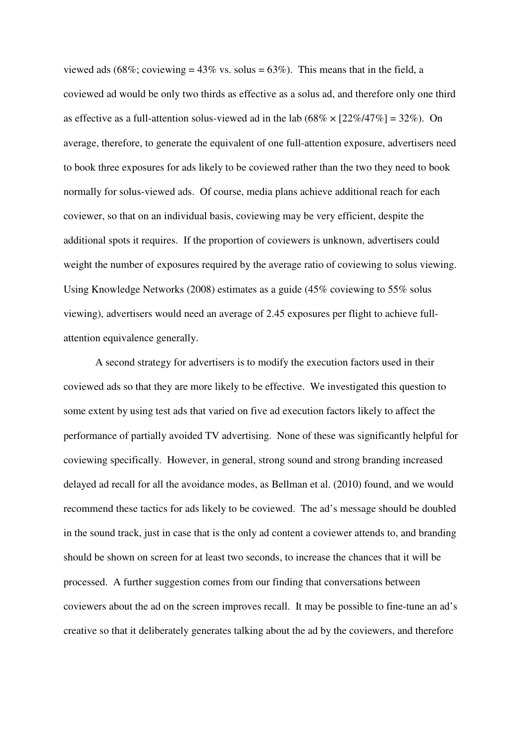viewed ads (68%; coviewing =  $43\%$  vs. solus =  $63\%$ ). This means that in the field, a coviewed ad would be only two thirds as effective as a solus ad, and therefore only one third as effective as a full-attention solus-viewed ad in the lab  $(68\% \times [22\%/47\%) = 32\%$ ). On average, therefore, to generate the equivalent of one full-attention exposure, advertisers need to book three exposures for ads likely to be coviewed rather than the two they need to book normally for solus-viewed ads. Of course, media plans achieve additional reach for each coviewer, so that on an individual basis, coviewing may be very efficient, despite the additional spots it requires. If the proportion of coviewers is unknown, advertisers could weight the number of exposures required by the average ratio of coviewing to solus viewing. Using Knowledge Networks (2008) estimates as a guide (45% coviewing to 55% solus viewing), advertisers would need an average of 2.45 exposures per flight to achieve fullattention equivalence generally.

A second strategy for advertisers is to modify the execution factors used in their coviewed ads so that they are more likely to be effective. We investigated this question to some extent by using test ads that varied on five ad execution factors likely to affect the performance of partially avoided TV advertising. None of these was significantly helpful for coviewing specifically. However, in general, strong sound and strong branding increased delayed ad recall for all the avoidance modes, as Bellman et al. (2010) found, and we would recommend these tactics for ads likely to be coviewed. The ad's message should be doubled in the sound track, just in case that is the only ad content a coviewer attends to, and branding should be shown on screen for at least two seconds, to increase the chances that it will be processed. A further suggestion comes from our finding that conversations between coviewers about the ad on the screen improves recall. It may be possible to fine-tune an ad's creative so that it deliberately generates talking about the ad by the coviewers, and therefore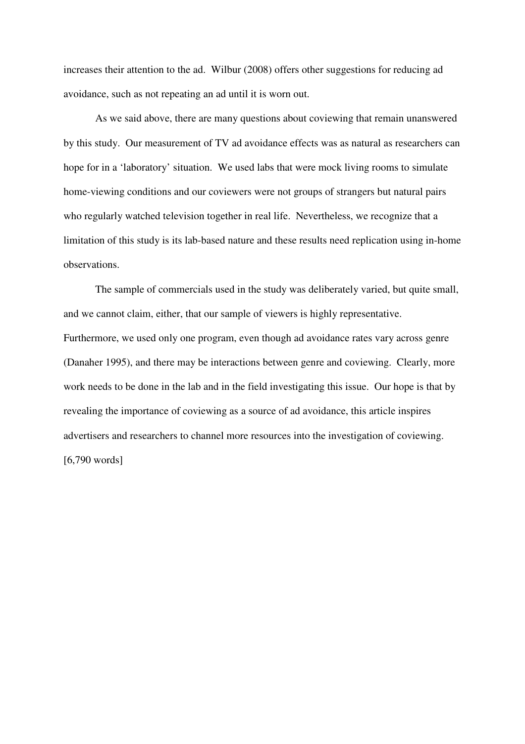increases their attention to the ad. Wilbur (2008) offers other suggestions for reducing ad avoidance, such as not repeating an ad until it is worn out.

As we said above, there are many questions about coviewing that remain unanswered by this study. Our measurement of TV ad avoidance effects was as natural as researchers can hope for in a 'laboratory' situation. We used labs that were mock living rooms to simulate home-viewing conditions and our coviewers were not groups of strangers but natural pairs who regularly watched television together in real life. Nevertheless, we recognize that a limitation of this study is its lab-based nature and these results need replication using in-home observations.

The sample of commercials used in the study was deliberately varied, but quite small, and we cannot claim, either, that our sample of viewers is highly representative. Furthermore, we used only one program, even though ad avoidance rates vary across genre (Danaher 1995), and there may be interactions between genre and coviewing. Clearly, more work needs to be done in the lab and in the field investigating this issue. Our hope is that by revealing the importance of coviewing as a source of ad avoidance, this article inspires advertisers and researchers to channel more resources into the investigation of coviewing. [6,790 words]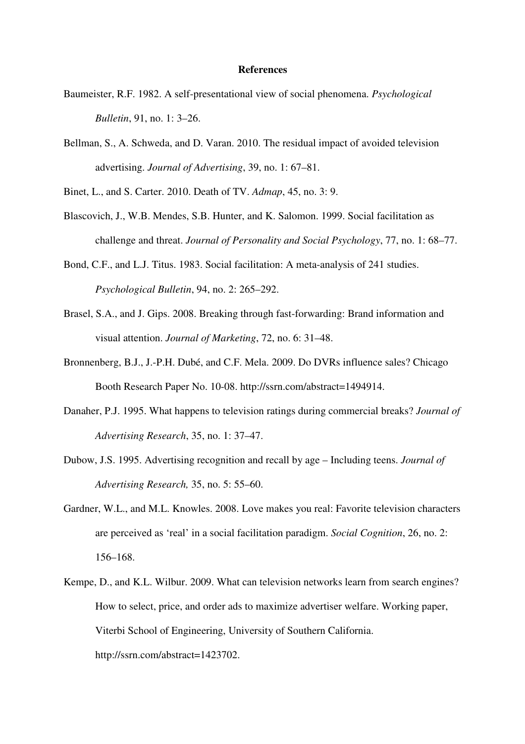#### **References**

- Baumeister, R.F. 1982. A self-presentational view of social phenomena. *Psychological Bulletin*, 91, no. 1: 3–26.
- Bellman, S., A. Schweda, and D. Varan. 2010. The residual impact of avoided television advertising. *Journal of Advertising*, 39, no. 1: 67–81.

Binet, L., and S. Carter. 2010. Death of TV. *Admap*, 45, no. 3: 9.

- Blascovich, J., W.B. Mendes, S.B. Hunter, and K. Salomon. 1999. Social facilitation as challenge and threat. *Journal of Personality and Social Psychology*, 77, no. 1: 68–77.
- Bond, C.F., and L.J. Titus. 1983. Social facilitation: A meta-analysis of 241 studies. *Psychological Bulletin*, 94, no. 2: 265–292.
- Brasel, S.A., and J. Gips. 2008. Breaking through fast-forwarding: Brand information and visual attention. *Journal of Marketing*, 72, no. 6: 31–48.
- Bronnenberg, B.J., J.-P.H. Dubé, and C.F. Mela. 2009. Do DVRs influence sales? Chicago Booth Research Paper No. 10-08. http://ssrn.com/abstract=1494914.
- Danaher, P.J. 1995. What happens to television ratings during commercial breaks? *Journal of Advertising Research*, 35, no. 1: 37–47.
- Dubow, J.S. 1995. Advertising recognition and recall by age Including teens. *Journal of Advertising Research,* 35, no. 5: 55–60.
- Gardner, W.L., and M.L. Knowles. 2008. Love makes you real: Favorite television characters are perceived as 'real' in a social facilitation paradigm. *Social Cognition*, 26, no. 2: 156–168.
- Kempe, D., and K.L. Wilbur. 2009. What can television networks learn from search engines? How to select, price, and order ads to maximize advertiser welfare. Working paper, Viterbi School of Engineering, University of Southern California. http://ssrn.com/abstract=1423702.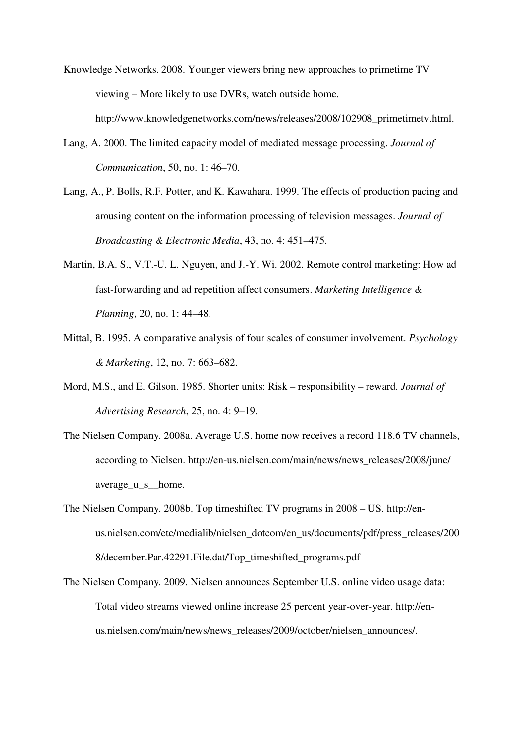- Knowledge Networks. 2008. Younger viewers bring new approaches to primetime TV viewing – More likely to use DVRs, watch outside home.
	- http://www.knowledgenetworks.com/news/releases/2008/102908\_primetimetv.html.
- Lang, A. 2000. The limited capacity model of mediated message processing. *Journal of Communication*, 50, no. 1: 46–70.
- Lang, A., P. Bolls, R.F. Potter, and K. Kawahara. 1999. The effects of production pacing and arousing content on the information processing of television messages. *Journal of Broadcasting & Electronic Media*, 43, no. 4: 451–475.
- Martin, B.A. S., V.T.-U. L. Nguyen, and J.-Y. Wi. 2002. Remote control marketing: How ad fast-forwarding and ad repetition affect consumers. *Marketing Intelligence & Planning*, 20, no. 1: 44–48.
- Mittal, B. 1995. A comparative analysis of four scales of consumer involvement. *Psychology & Marketing*, 12, no. 7: 663–682.
- Mord, M.S., and E. Gilson. 1985. Shorter units: Risk responsibility reward. *Journal of Advertising Research*, 25, no. 4: 9–19.
- The Nielsen Company. 2008a. Average U.S. home now receives a record 118.6 TV channels, according to Nielsen. http://en-us.nielsen.com/main/news/news\_releases/2008/june/ average\_u\_s\_\_home.
- The Nielsen Company. 2008b. Top timeshifted TV programs in 2008 US. http://enus.nielsen.com/etc/medialib/nielsen\_dotcom/en\_us/documents/pdf/press\_releases/200 8/december.Par.42291.File.dat/Top\_timeshifted\_programs.pdf
- The Nielsen Company. 2009. Nielsen announces September U.S. online video usage data: Total video streams viewed online increase 25 percent year-over-year. http://enus.nielsen.com/main/news/news\_releases/2009/october/nielsen\_announces/.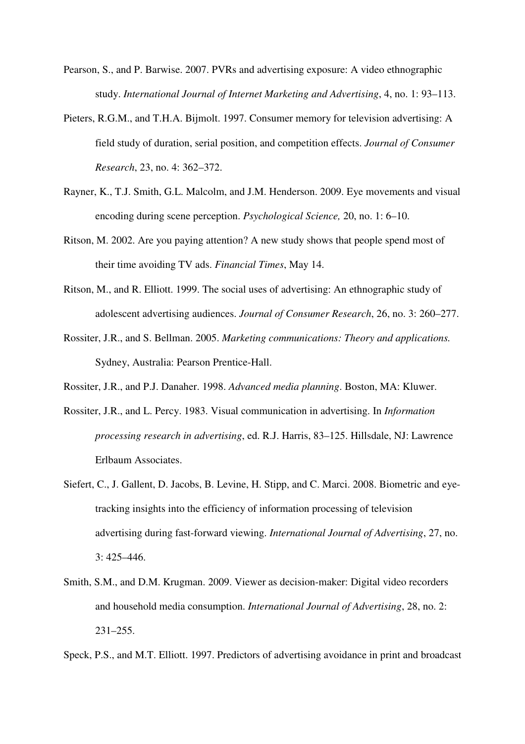- Pearson, S., and P. Barwise. 2007. PVRs and advertising exposure: A video ethnographic study. *International Journal of Internet Marketing and Advertising*, 4, no. 1: 93–113.
- Pieters, R.G.M., and T.H.A. Bijmolt. 1997. Consumer memory for television advertising: A field study of duration, serial position, and competition effects. *Journal of Consumer Research*, 23, no. 4: 362–372.
- Rayner, K., T.J. Smith, G.L. Malcolm, and J.M. Henderson. 2009. Eye movements and visual encoding during scene perception. *Psychological Science,* 20, no. 1: 6–10.
- Ritson, M. 2002. Are you paying attention? A new study shows that people spend most of their time avoiding TV ads. *Financial Times*, May 14.
- Ritson, M., and R. Elliott. 1999. The social uses of advertising: An ethnographic study of adolescent advertising audiences. *Journal of Consumer Research*, 26, no. 3: 260–277.
- Rossiter, J.R., and S. Bellman. 2005. *Marketing communications: Theory and applications.*  Sydney, Australia: Pearson Prentice-Hall.
- Rossiter, J.R., and P.J. Danaher. 1998. *Advanced media planning*. Boston, MA: Kluwer.
- Rossiter, J.R., and L. Percy. 1983. Visual communication in advertising. In *Information processing research in advertising*, ed. R.J. Harris, 83–125. Hillsdale, NJ: Lawrence Erlbaum Associates.
- Siefert, C., J. Gallent, D. Jacobs, B. Levine, H. Stipp, and C. Marci. 2008. Biometric and eyetracking insights into the efficiency of information processing of television advertising during fast-forward viewing. *International Journal of Advertising*, 27, no. 3: 425–446.
- Smith, S.M., and D.M. Krugman. 2009. Viewer as decision-maker: Digital video recorders and household media consumption. *International Journal of Advertising*, 28, no. 2: 231–255.
- Speck, P.S., and M.T. Elliott. 1997. Predictors of advertising avoidance in print and broadcast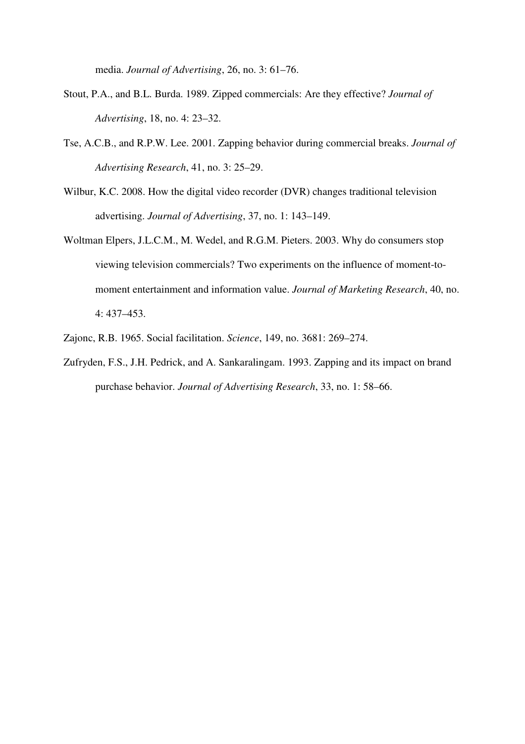media. *Journal of Advertising*, 26, no. 3: 61–76.

- Stout, P.A., and B.L. Burda. 1989. Zipped commercials: Are they effective? *Journal of Advertising*, 18, no. 4: 23–32.
- Tse, A.C.B., and R.P.W. Lee. 2001. Zapping behavior during commercial breaks. *Journal of Advertising Research*, 41, no. 3: 25–29.
- Wilbur, K.C. 2008. How the digital video recorder (DVR) changes traditional television advertising. *Journal of Advertising*, 37, no. 1: 143–149.
- Woltman Elpers, J.L.C.M., M. Wedel, and R.G.M. Pieters. 2003. Why do consumers stop viewing television commercials? Two experiments on the influence of moment-tomoment entertainment and information value. *Journal of Marketing Research*, 40, no. 4: 437–453.
- Zajonc, R.B. 1965. Social facilitation. *Science*, 149, no. 3681: 269–274.
- Zufryden, F.S., J.H. Pedrick, and A. Sankaralingam. 1993. Zapping and its impact on brand purchase behavior. *Journal of Advertising Research*, 33, no. 1: 58–66.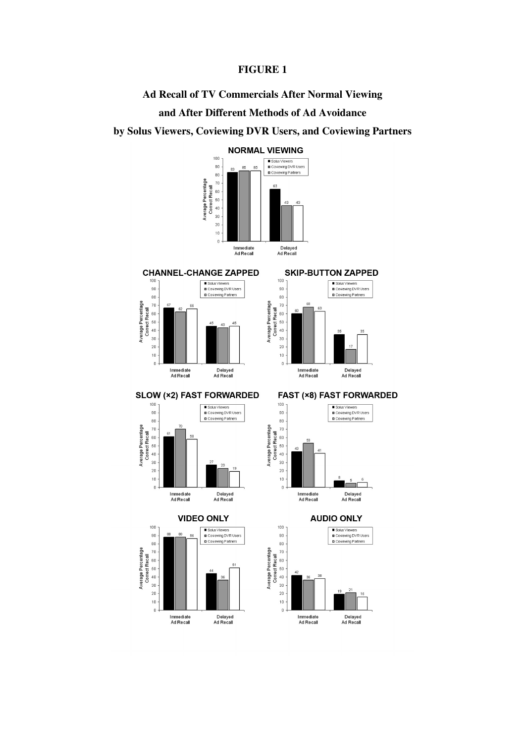# **FIGURE 1**

**Ad Recall of TV Commercials After Normal Viewing** 

# **and After Different Methods of Ad Avoidance**

# **by Solus Viewers, Coviewing DVR Users, and Coviewing Partners**

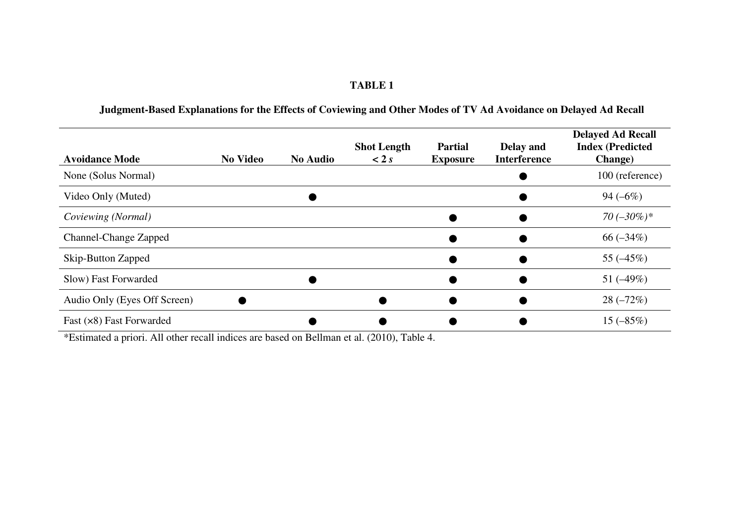### **TABLE 1**

#### **Avoidance Mode** No Video No Audio **Shot Length< 2** *s***Partial Exposure Delay and Interference Delayed Ad Recall Index (Predicted Change)**  $\blacksquare$  None (Solus Normal)  $\blacksquare$  $\frac{100 \text{ (reference)}}{94 (-6\%)}$ Video Only (Muted)  $\bullet$ • 94 (–6%)  $Coviewing (Normal)$  **●** ●  $70 (-30\%)*$ <br>  $66 (-34\%)$ Channel-Change Zapped ● $\begin{array}{c|c}\n\bullet & \bullet & \bullet & \bullet & \bullet \\
\hline\n\bullet & \bullet & \bullet & \bullet \\
\hline\n\bullet & \bullet & \bullet & \bullet \\
\hline\n\end{array}$ Skip-Button Zapped  $\begin{array}{cc}\n\bullet & \bullet & 55 (-45\%) \\
\hline\n\bullet & \bullet & 51 (-49\%) \\
\end{array}$  $Slow)$  Fast Forwarded  $\bullet$  $\bullet$   $51 (-49\%)$ Audio Only (Eyes Off Screen)  $\bullet$  $\bullet$   $\bullet$   $\bullet$   $28 (-72\%)$ Fast  $(x8)$  Fast Forwarded Fast (×8) Fast Forwarded<br>
\*Estimated a priori. All other recall indices are based on Bellman et al. (2010), Table 4.

# **Judgment-Based Explanations for the Effects of Coviewing and Other Modes of TV Ad Avoidance on Delayed Ad Recall**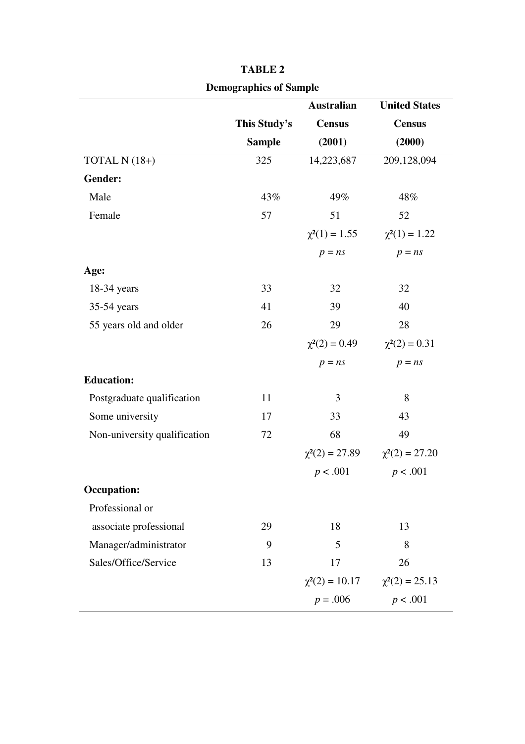|                              | оснодгарние от защри |                     |                      |  |  |
|------------------------------|----------------------|---------------------|----------------------|--|--|
|                              |                      | <b>Australian</b>   | <b>United States</b> |  |  |
|                              | This Study's         | <b>Census</b>       | <b>Census</b>        |  |  |
|                              | <b>Sample</b>        | (2001)              | (2000)               |  |  |
| TOTAL N (18+)                | 325                  | 14,223,687          | 209,128,094          |  |  |
| Gender:                      |                      |                     |                      |  |  |
| Male                         | 43%                  | 49%                 | 48%                  |  |  |
| Female                       | 57                   | 51                  | 52                   |  |  |
|                              |                      | $\chi^2(1) = 1.55$  | $\chi^2(1) = 1.22$   |  |  |
|                              |                      | $p = ns$            | $p = ns$             |  |  |
| Age:                         |                      |                     |                      |  |  |
| $18-34$ years                | 33                   | 32                  | 32                   |  |  |
| 35-54 years                  | 41                   | 39                  | 40                   |  |  |
| 55 years old and older       | 26                   | 29                  | 28                   |  |  |
|                              |                      | $\chi^2(2) = 0.49$  | $\chi^2(2) = 0.31$   |  |  |
|                              |                      | $p = ns$            | $p = ns$             |  |  |
| <b>Education:</b>            |                      |                     |                      |  |  |
| Postgraduate qualification   | 11                   | 3                   | 8                    |  |  |
| Some university              | 17                   | 33                  | 43                   |  |  |
| Non-university qualification | 72                   | 68                  | 49                   |  |  |
|                              |                      | $\chi^2(2) = 27.89$ | $\chi^2(2) = 27.20$  |  |  |
|                              |                      | p < .001            | p < .001             |  |  |
| <b>Occupation:</b>           |                      |                     |                      |  |  |
| Professional or              |                      |                     |                      |  |  |
| associate professional       | 29                   | 18                  | 13                   |  |  |
| Manager/administrator        | 9                    | 5                   | 8                    |  |  |
| Sales/Office/Service         | 13                   | 17                  | 26                   |  |  |
|                              |                      | $\chi^2(2) = 10.17$ | $\chi^2(2) = 25.13$  |  |  |
|                              |                      | $p = .006$          | p < .001             |  |  |

| <b>TABLE 2</b>                |
|-------------------------------|
| <b>Demographics of Sample</b> |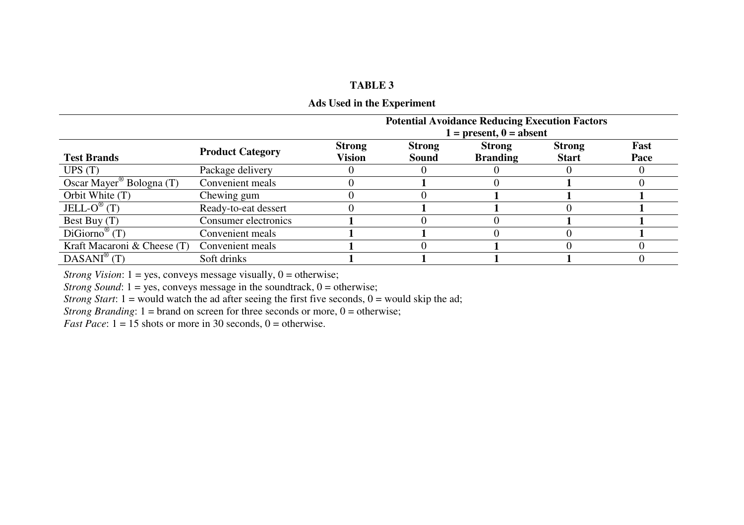# **TABLE 3**

# **Ads Used in the Experiment**

|                                      |                         | <b>Potential Avoidance Reducing Execution Factors</b> |               |                           |               |      |
|--------------------------------------|-------------------------|-------------------------------------------------------|---------------|---------------------------|---------------|------|
|                                      |                         |                                                       |               | $1 = present, 0 = absent$ |               |      |
|                                      | <b>Product Category</b> | <b>Strong</b>                                         | <b>Strong</b> | <b>Strong</b>             | <b>Strong</b> | Fast |
| <b>Test Brands</b>                   |                         | Vision                                                | Sound         | <b>Branding</b>           | <b>Start</b>  | Pace |
| UPS(T)                               | Package delivery        |                                                       |               |                           |               |      |
| Oscar Mayer <sup>®</sup> Bologna (T) | Convenient meals        |                                                       |               |                           |               |      |
| Orbit White (T)                      | Chewing gum             |                                                       |               |                           |               |      |
| JELL- $O^{\circledR}$ (T)            | Ready-to-eat dessert    |                                                       |               |                           |               |      |
| Best Buy (T)                         | Consumer electronics    |                                                       |               |                           |               |      |
| $DiGiorno^{\mathcal{C}}(T)$          | Convenient meals        |                                                       |               |                           |               |      |
| Kraft Macaroni & Cheese (T)          | Convenient meals        |                                                       |               |                           |               |      |
| $DASANI^{\circledR}$ (T)             | Soft drinks             |                                                       |               |                           |               |      |

*Strong Vision*: 1 = yes, conveys message visually, 0 = otherwise;

*Strong Sound*: 1 = yes, conveys message in the soundtrack, 0 = otherwise;

*Strong Start*:  $1 =$  would watch the ad after seeing the first five seconds,  $0 =$  would skip the ad;

*Strong Branding*:  $1 =$  brand on screen for three seconds or more,  $0 =$  otherwise;

*Fast Pace*:  $1 = 15$  shots or more in 30 seconds,  $0 =$  otherwise.